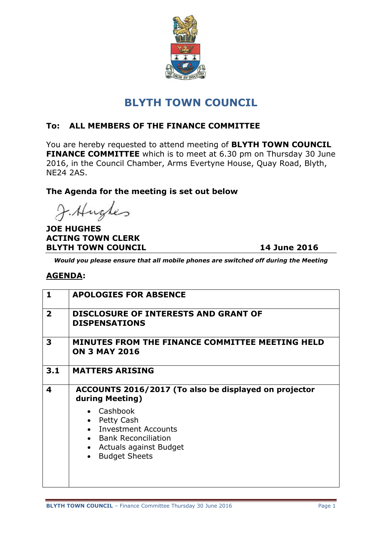

# **BLYTH TOWN COUNCIL**

### **To: ALL MEMBERS OF THE FINANCE COMMITTEE**

You are hereby requested to attend meeting of **BLYTH TOWN COUNCIL FINANCE COMMITTEE** which is to meet at 6.30 pm on Thursday 30 June 2016, in the Council Chamber, Arms Evertyne House, Quay Road, Blyth, NE24 2AS.

#### **The Agenda for the meeting is set out below**

J. Hughes

**JOE HUGHES ACTING TOWN CLERK BLYTH TOWN COUNCIL** 14 June 2016

*Would you please ensure that all mobile phones are switched off during the Meeting*

#### **AGENDA:**

| $\mathbf{1}$   | <b>APOLOGIES FOR ABSENCE</b>                                                                                                                 |
|----------------|----------------------------------------------------------------------------------------------------------------------------------------------|
| $\overline{2}$ | <b>DISCLOSURE OF INTERESTS AND GRANT OF</b><br><b>DISPENSATIONS</b>                                                                          |
| 3              | MINUTES FROM THE FINANCE COMMITTEE MEETING HELD<br><b>ON 3 MAY 2016</b>                                                                      |
| 3.1            | <b>MATTERS ARISING</b>                                                                                                                       |
| 4              | ACCOUNTS 2016/2017 (To also be displayed on projector<br>during Meeting)                                                                     |
|                | Cashbook<br>Petty Cash<br><b>Investment Accounts</b><br>• Bank Reconciliation<br>Actuals against Budget<br><b>Budget Sheets</b><br>$\bullet$ |